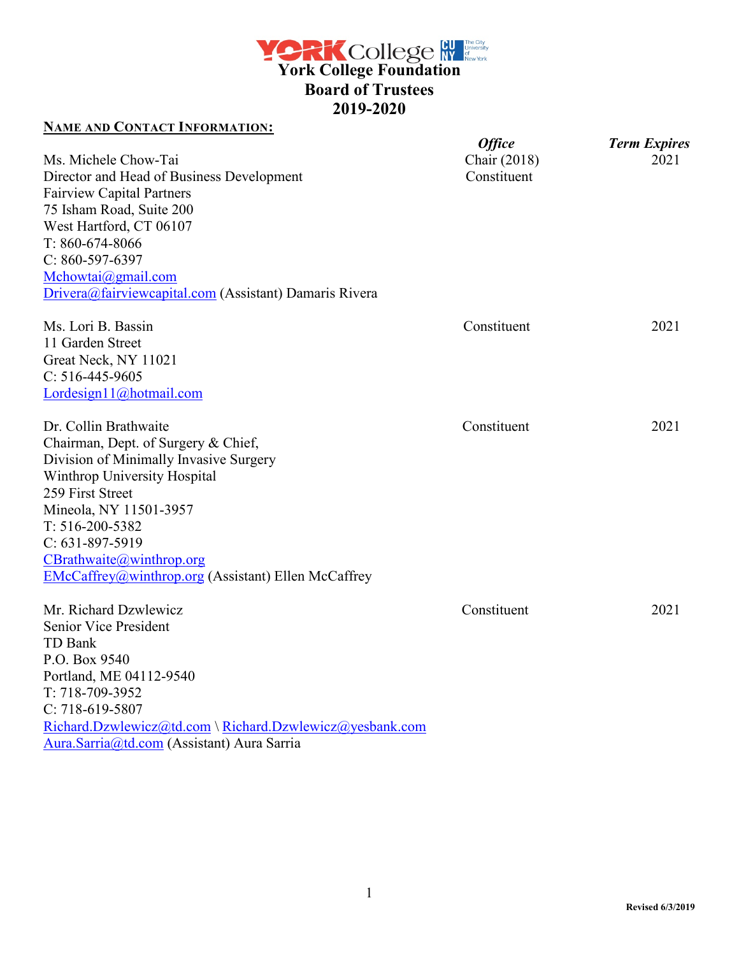**York College Foundation Board of Trustees 2019-2020** 

# **NAME AND CONTACT INFORMATION:**

|                                                            | <b>Office</b> | <b>Term Expires</b> |
|------------------------------------------------------------|---------------|---------------------|
| Ms. Michele Chow-Tai                                       | Chair (2018)  | 2021                |
| Director and Head of Business Development                  | Constituent   |                     |
| <b>Fairview Capital Partners</b>                           |               |                     |
| 75 Isham Road, Suite 200                                   |               |                     |
| West Hartford, CT 06107                                    |               |                     |
| $T: 860-674-8066$                                          |               |                     |
| $C: 860 - 597 - 6397$                                      |               |                     |
| Mchowtai@gmail.com                                         |               |                     |
| Drivera@fairviewcapital.com (Assistant) Damaris Rivera     |               |                     |
| Ms. Lori B. Bassin                                         | Constituent   | 2021                |
| 11 Garden Street                                           |               |                     |
| Great Neck, NY 11021                                       |               |                     |
| $C: 516-445-9605$                                          |               |                     |
| Lordesign11@hotmail.com                                    |               |                     |
|                                                            |               |                     |
| Dr. Collin Brathwaite                                      | Constituent   | 2021                |
| Chairman, Dept. of Surgery & Chief,                        |               |                     |
| Division of Minimally Invasive Surgery                     |               |                     |
| Winthrop University Hospital                               |               |                     |
| 259 First Street                                           |               |                     |
| Mineola, NY 11501-3957                                     |               |                     |
| $T: 516 - 200 - 5382$                                      |               |                     |
| $C: 631-897-5919$                                          |               |                     |
| CBrathwaite@winthrop.org                                   |               |                     |
| <b>EMcCaffrey@winthrop.org (Assistant) Ellen McCaffrey</b> |               |                     |
| Mr. Richard Dzwlewicz                                      | Constituent   | 2021                |
| <b>Senior Vice President</b>                               |               |                     |
| TD Bank                                                    |               |                     |
| P.O. Box 9540                                              |               |                     |
| Portland, ME 04112-9540                                    |               |                     |
| T: 718-709-3952                                            |               |                     |
| $C: 718-619-5807$                                          |               |                     |
| Richard.Dzwlewicz@td.com \ Richard.Dzwlewicz@yesbank.com   |               |                     |
|                                                            |               |                     |

[Aura.Sarria@td.com](mailto:Aura.Sarria@td.com) (Assistant) Aura Sarria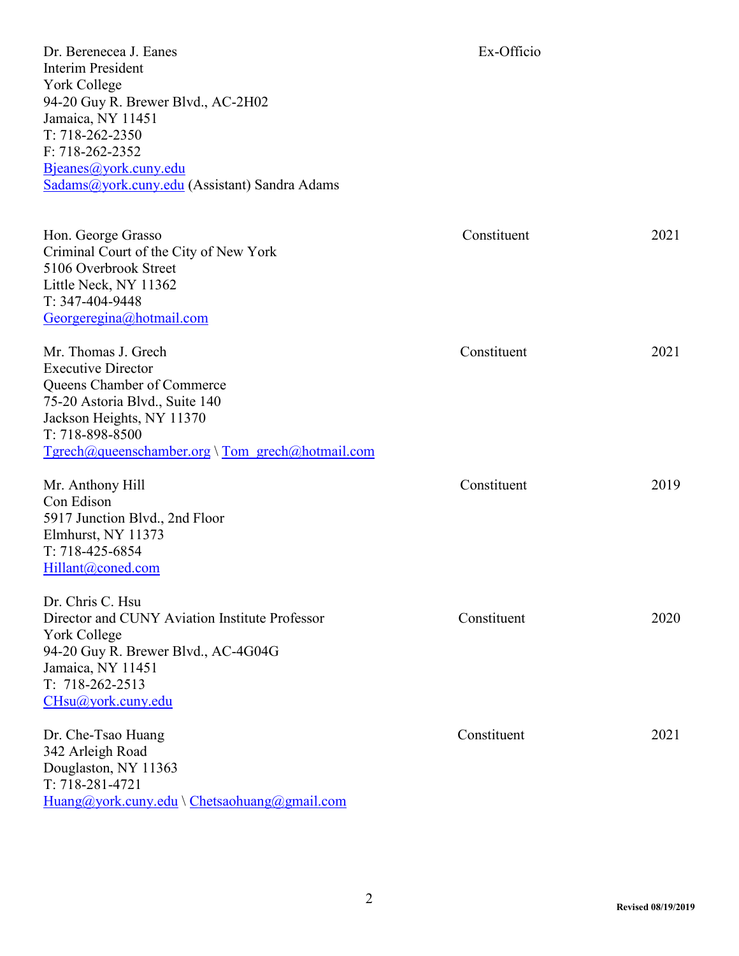Dr. Berenecea J. Eanes Ex-Officio Interim President York College 94-20 Guy R. Brewer Blvd., AC-2H02 Jamaica, NY 11451 T: 718-262-2350 F: 718-262-2352 [Bjeanes@york.cuny.edu](mailto:Bjeanes@york.cuny.edu) [Sadams@york.cuny.edu](mailto:Sadams@york.cuny.edu) (Assistant) Sandra Adams

Hon. George Grasso Constituent 2021 Criminal Court of the City of New York 5106 Overbrook Street Little Neck, NY 11362 T: 347-404-9448 [Georgeregina@hotmail.com](mailto:Georgeregina@hotmail.com) Mr. Thomas J. Grech 2021 Executive Director Queens Chamber of Commerce 75-20 Astoria Blvd., Suite 140 Jackson Heights, NY 11370 T: 718-898-8500 [Tgrech@queenschamber.org](mailto:Tgrech@queenschamber.org) \ [Tom\\_grech@hotmail.com](mailto:Tom_grech@hotmail.com) Mr. Anthony Hill Constituent 2019 Con Edison 5917 Junction Blvd., 2nd Floor Elmhurst, NY 11373 T: 718-425-6854 [Hillant@coned.com](mailto:Hillant@coned.com) Dr. Chris C. Hsu Director and CUNY Aviation Institute Professor Constituent 2020 York College 94-20 Guy R. Brewer Blvd., AC-4G04G Jamaica, NY 11451 T: 718-262-2513 [CHsu@york.cuny.edu](mailto:CHsu@york.cuny.edu) Dr. Che-Tsao Huang Constituent 2021 342 Arleigh Road Douglaston, NY 11363 T: 718-281-4721  $Huang@york.cuny.edu \ \ \ \nChetsaohuang@gmail.com$  $Huang@york.cuny.edu \ \ \ \nChetsaohuang@gmail.com$  $Huang@york.cuny.edu \ \ \ \nChetsaohuang@gmail.com$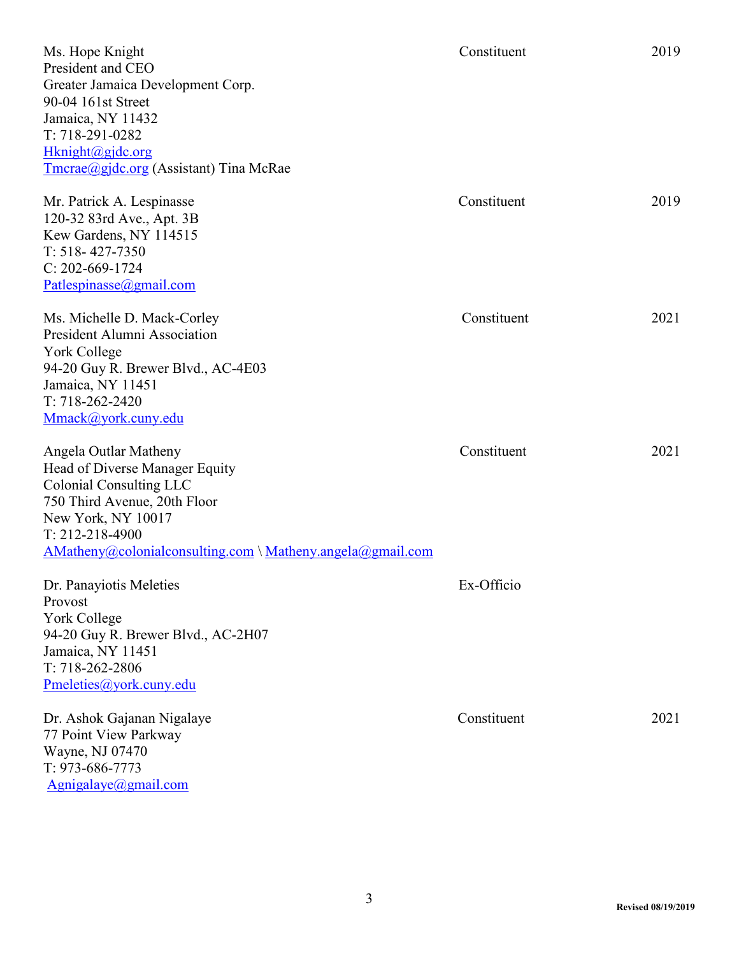| Ms. Hope Knight<br>President and CEO<br>Greater Jamaica Development Corp.<br>90-04 161st Street<br>Jamaica, NY 11432<br>T: 718-291-0282<br>Hknight@gjdc.org<br>Tmcrae@gjdc.org (Assistant) Tina McRae                                           | Constituent | 2019 |
|-------------------------------------------------------------------------------------------------------------------------------------------------------------------------------------------------------------------------------------------------|-------------|------|
| Mr. Patrick A. Lespinasse<br>120-32 83rd Ave., Apt. 3B<br>Kew Gardens, NY 114515<br>$T: 518 - 427 - 7350$<br>$C: 202-669-1724$<br>Patlespinasse@gmail.com                                                                                       | Constituent | 2019 |
| Ms. Michelle D. Mack-Corley<br>President Alumni Association<br>York College<br>94-20 Guy R. Brewer Blvd., AC-4E03<br>Jamaica, NY 11451<br>$T: 718 - 262 - 2420$<br>Mmack@york.cuny.edu                                                          | Constituent | 2021 |
| Angela Outlar Matheny<br>Head of Diverse Manager Equity<br><b>Colonial Consulting LLC</b><br>750 Third Avenue, 20th Floor<br>New York, NY 10017<br>T: 212-218-4900<br>$AMatheny @colonial consulting.com \setminus Matheny. angle a @gmail.com$ | Constituent | 2021 |
| Dr. Panayiotis Meleties<br>Provost<br>York College<br>94-20 Guy R. Brewer Blvd., AC-2H07<br>Jamaica, NY 11451<br>T: 718-262-2806<br>Pmeleties@york.cuny.edu                                                                                     | Ex-Officio  |      |
| Dr. Ashok Gajanan Nigalaye<br>77 Point View Parkway<br>Wayne, NJ 07470<br>T: 973-686-7773<br>Agnigalaye@gmail.com                                                                                                                               | Constituent | 2021 |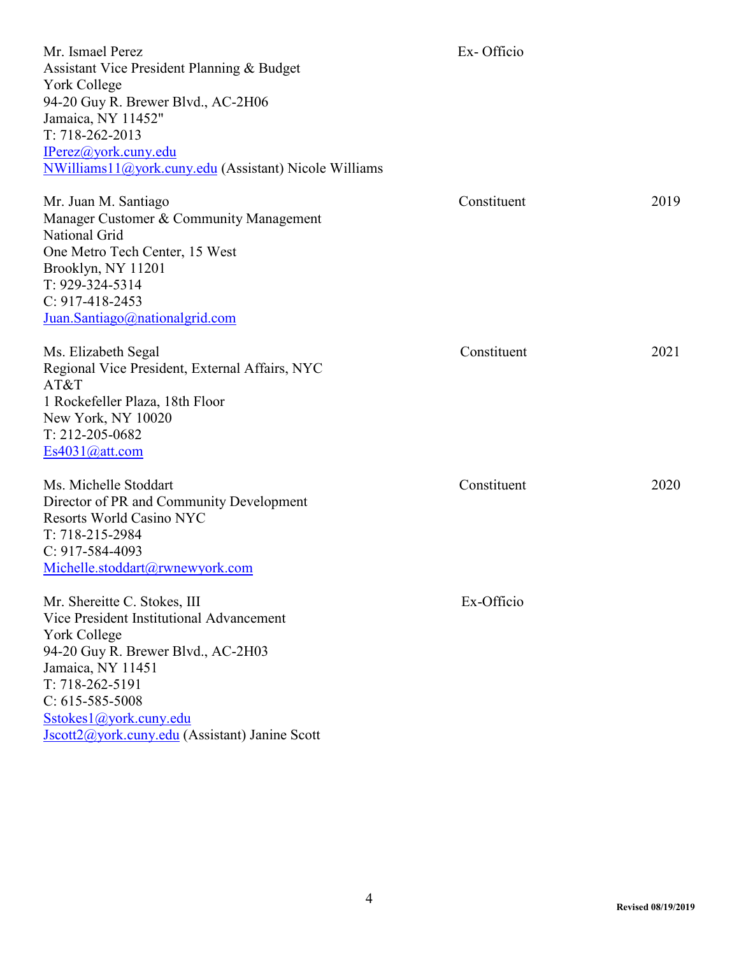| Mr. Ismael Perez<br>Assistant Vice President Planning & Budget<br>York College<br>94-20 Guy R. Brewer Blvd., AC-2H06<br>Jamaica, NY 11452"<br>$T: 718 - 262 - 2013$<br>IPerez@york.cuny.edu<br>NWilliams11@york.cuny.edu (Assistant) Nicole Williams                          | Ex-Officio  |      |
|-------------------------------------------------------------------------------------------------------------------------------------------------------------------------------------------------------------------------------------------------------------------------------|-------------|------|
| Mr. Juan M. Santiago<br>Manager Customer & Community Management<br>National Grid<br>One Metro Tech Center, 15 West<br>Brooklyn, NY 11201<br>T: 929-324-5314<br>$C: 917-418-2453$<br>Juan.Santiago@nationalgrid.com                                                            | Constituent | 2019 |
| Ms. Elizabeth Segal<br>Regional Vice President, External Affairs, NYC<br>AT&T<br>1 Rockefeller Plaza, 18th Floor<br>New York, NY 10020<br>T: 212-205-0682<br>Es4031@att.com                                                                                                   | Constituent | 2021 |
| Ms. Michelle Stoddart<br>Director of PR and Community Development<br><b>Resorts World Casino NYC</b><br>T: 718-215-2984<br>$C: 917 - 584 - 4093$<br>Michelle.stoddart@rwnewyork.com                                                                                           | Constituent | 2020 |
| Mr. Shereitte C. Stokes, III<br>Vice President Institutional Advancement<br>York College<br>94-20 Guy R. Brewer Blvd., AC-2H03<br>Jamaica, NY 11451<br>$T: 718-262-5191$<br>$C: 615 - 585 - 5008$<br>Sstokes1@york.cuny.edu<br>Jscott2@york.cuny.edu (Assistant) Janine Scott | Ex-Officio  |      |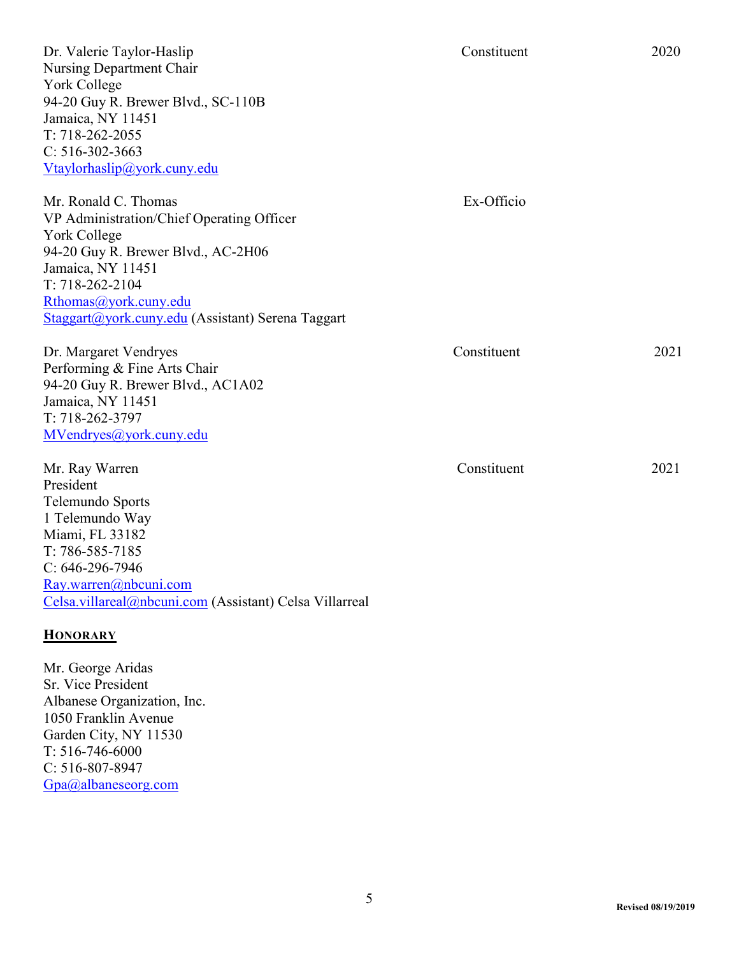Dr. Valerie Taylor-Haslip 2020 Nursing Department Chair York College 94-20 Guy R. Brewer Blvd., SC-110B Jamaica, NY 11451 T: 718-262-2055 C: 516-302-3663 [Vtaylorhaslip@york.cuny.edu](mailto:Vtaylorhaslip@york.cuny.edu)

Mr. Ronald C. Thomas Ex-Officio VP Administration/Chief Operating Officer York College 94-20 Guy R. Brewer Blvd., AC-2H06 Jamaica, NY 11451 T: 718-262-2104 [Rthomas@york.cuny.edu](mailto:Rthomas@york.cuny.edu) [Staggart@york.cuny.edu](mailto:Staggart@york.cuny.edu) (Assistant) Serena Taggart

Dr. Margaret Vendryes Constituent 2021 Performing & Fine Arts Chair 94-20 Guy R. Brewer Blvd., AC1A02 Jamaica, NY 11451 T: 718-262-3797 [MVendryes@york.cuny.edu](mailto:MVendryes@york.cuny.edu)

Mr. Ray Warren 2021 President Telemundo Sports 1 Telemundo Way Miami, FL 33182 T: 786-585-7185 C: 646-296-7946 [Ray.warren@nbcuni.com](mailto:Ray.warren@nbcuni.com) [Celsa.villareal@nbcuni.com](mailto:Celsa.villareal@nbcuni.com) (Assistant) Celsa Villarreal

### **HONORARY**

Mr. George Aridas Sr. Vice President Albanese Organization, Inc. 1050 Franklin Avenue Garden City, NY 11530 T: 516-746-6000 C: 516-807-8947 [Gpa@albaneseorg.com](mailto:Gpa@albaneseorg.com)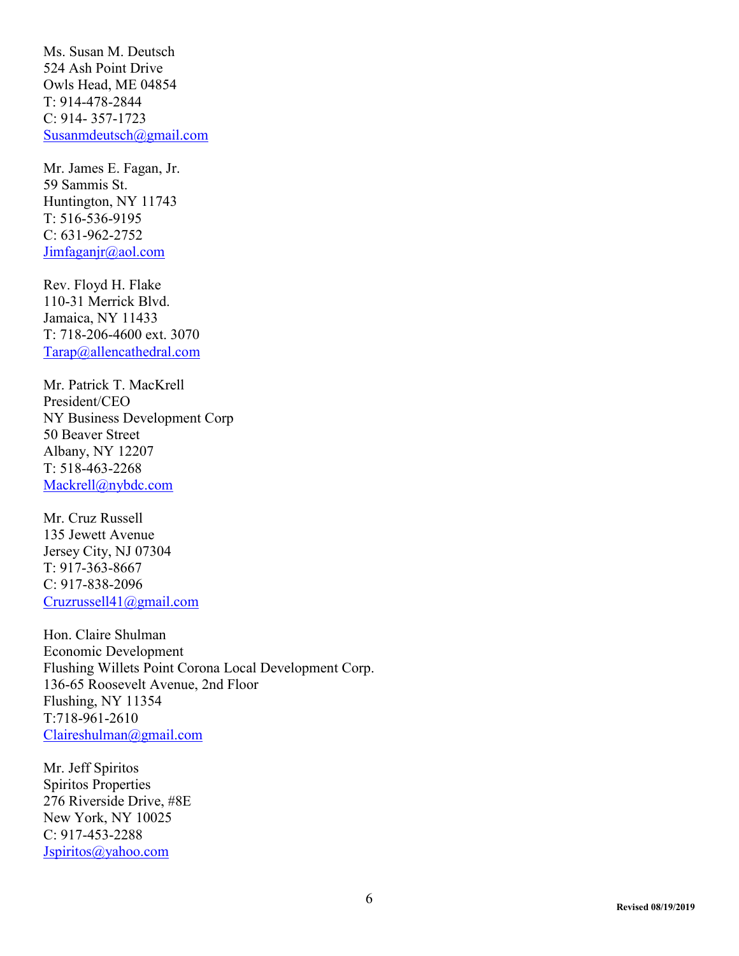Ms. Susan M. Deutsch 524 Ash Point Drive Owls Head, ME 04854 T: 914-478-2844 C: 914- 357-1723 [Susanmdeutsch@gmail.com](mailto:Susanmdeutsch@gmail.com)

Mr. James E. Fagan, Jr. 59 Sammis St. Huntington, NY 11743 T: 516-536-9195 C: 631-962-2752 [Jimfaganjr@aol.com](mailto:Jimfaganjr@aol.com)

Rev. Floyd H. Flake 110-31 Merrick Blvd. Jamaica, NY 11433 T: 718-206-4600 ext. 3070 [Tarap@allencathedral.com](mailto:Tarap@allencathedral.com)

Mr. Patrick T. MacKrell President/CEO NY Business Development Corp 50 Beaver Street Albany, NY 12207 T: 518-463-2268 [Mackrell@nybdc.com](mailto:Mackrell@nybdc.com)

Mr. Cruz Russell 135 Jewett Avenue Jersey City, NJ 07304 T: 917-363-8667 C: 917-838-2096 [Cruzrussell41@gmail.com](mailto:Cruzrussell41@gmail.com)

Hon. Claire Shulman Economic Development Flushing Willets Point Corona Local Development Corp. 136-65 Roosevelt Avenue, 2nd Floor Flushing, NY 11354 T:718-961-2610 [Claireshulman@gmail.com](mailto:Claireshulman@gmail.com)

Mr. Jeff Spiritos Spiritos Properties 276 Riverside Drive, #8E New York, NY 10025 C: 917-453-2288 [Jspiritos@yahoo.com](mailto:Jspiritos@yahoo.com)